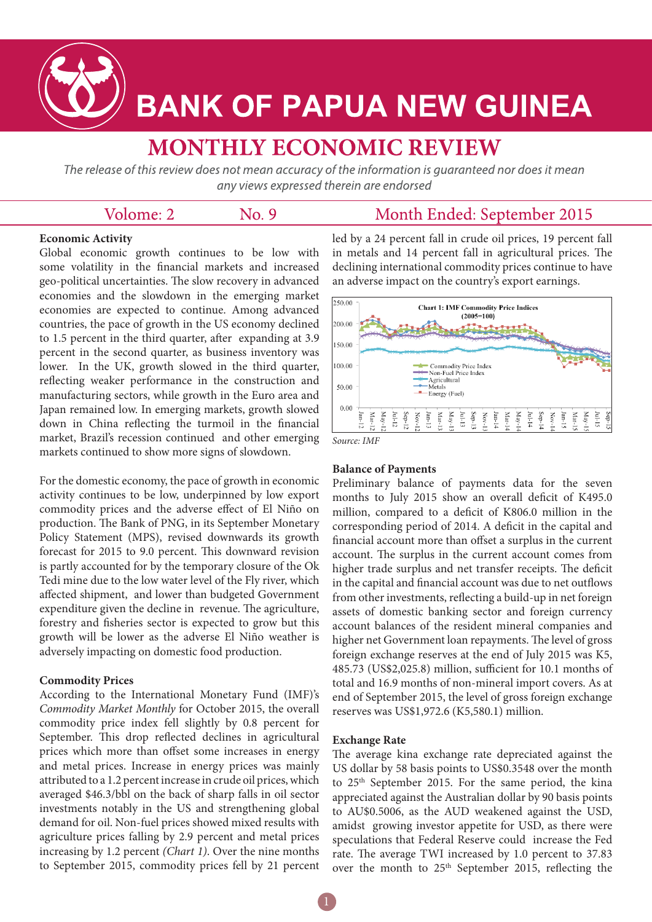

# **BANK OF PAPUA NEW GUINEA**

# **MONTHLY ECONOMIC REVIEW**

The release of this review does not mean accuracy of the information is guaranteed nor does it mean any views expressed therein are endorsed

|  | Volome: 2 | No. 9 | Month Ended: September 2015 |
|--|-----------|-------|-----------------------------|
|--|-----------|-------|-----------------------------|

# **Economic Activity**

Global economic growth continues to be low with some volatility in the financial markets and increased geo-political uncertainties. The slow recovery in advanced economies and the slowdown in the emerging market economies are expected to continue. Among advanced countries, the pace of growth in the US economy declined to 1.5 percent in the third quarter, after expanding at 3.9 percent in the second quarter, as business inventory was lower. In the UK, growth slowed in the third quarter, reflecting weaker performance in the construction and manufacturing sectors, while growth in the Euro area and Japan remained low. In emerging markets, growth slowed down in China reflecting the turmoil in the financial market, Brazil's recession continued and other emerging markets continued to show more signs of slowdown.

For the domestic economy, the pace of growth in economic activity continues to be low, underpinned by low export commodity prices and the adverse effect of El Niño on production. The Bank of PNG, in its September Monetary Policy Statement (MPS), revised downwards its growth forecast for 2015 to 9.0 percent. This downward revision is partly accounted for by the temporary closure of the Ok Tedi mine due to the low water level of the Fly river, which affected shipment, and lower than budgeted Government expenditure given the decline in revenue. The agriculture, forestry and fisheries sector is expected to grow but this growth will be lower as the adverse El Niño weather is adversely impacting on domestic food production.

#### **Commodity Prices**

According to the International Monetary Fund (IMF)'s *Commodity Market Monthly* for October 2015, the overall commodity price index fell slightly by 0.8 percent for September. This drop reflected declines in agricultural prices which more than offset some increases in energy and metal prices. Increase in energy prices was mainly attributed to a 1.2 percent increase in crude oil prices, which averaged \$46.3/bbl on the back of sharp falls in oil sector investments notably in the US and strengthening global demand for oil. Non-fuel prices showed mixed results with agriculture prices falling by 2.9 percent and metal prices increasing by 1.2 percent *(Chart 1)*. Over the nine months to September 2015, commodity prices fell by 21 percent led by a 24 percent fall in crude oil prices, 19 percent fall in metals and 14 percent fall in agricultural prices. The declining international commodity prices continue to have an adverse impact on the country's export earnings.



#### **Balance of Payments**

Preliminary balance of payments data for the seven months to July 2015 show an overall deficit of K495.0 million, compared to a deficit of K806.0 million in the corresponding period of 2014. A deficit in the capital and financial account more than offset a surplus in the current account. The surplus in the current account comes from higher trade surplus and net transfer receipts. The deficit in the capital and financial account was due to net outflows from other investments, reflecting a build-up in net foreign assets of domestic banking sector and foreign currency account balances of the resident mineral companies and higher net Government loan repayments. The level of gross foreign exchange reserves at the end of July 2015 was K5, 485.73 (US\$2,025.8) million, sufficient for 10.1 months of total and 16.9 months of non-mineral import covers. As at end of September 2015, the level of gross foreign exchange reserves was US\$1,972.6 (K5,580.1) million.

#### **Exchange Rate**

The average kina exchange rate depreciated against the US dollar by 58 basis points to US\$0.3548 over the month to 25<sup>th</sup> September 2015. For the same period, the kina appreciated against the Australian dollar by 90 basis points to AU\$0.5006, as the AUD weakened against the USD, amidst growing investor appetite for USD, as there were speculations that Federal Reserve could increase the Fed rate. The average TWI increased by 1.0 percent to 37.83 over the month to 25<sup>th</sup> September 2015, reflecting the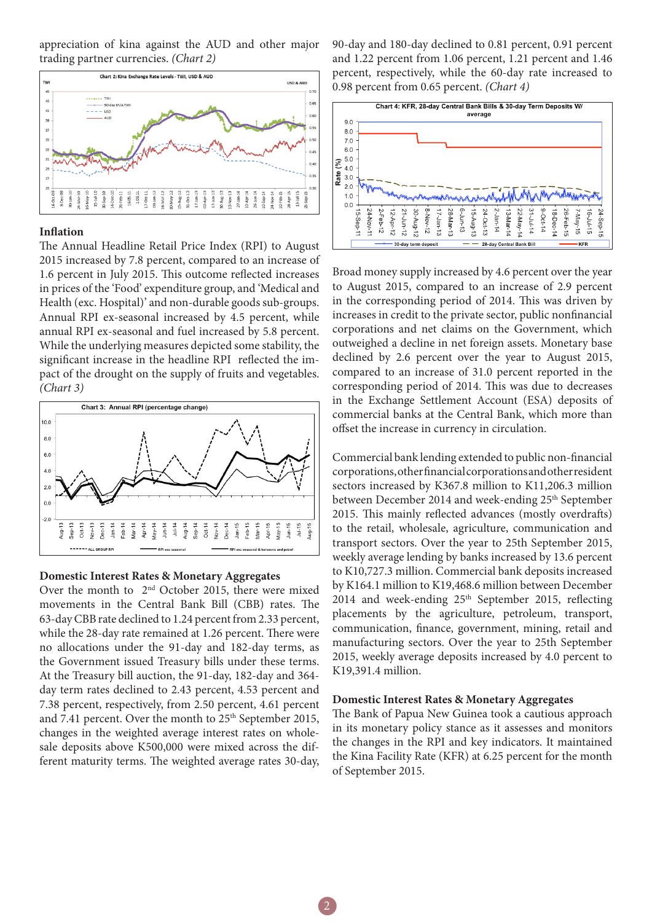appreciation of kina against the AUD and other major trading partner currencies. *(Chart 2)*



#### **Inflation**

The Annual Headline Retail Price Index (RPI) to August 2015 increased by 7.8 percent, compared to an increase of 1.6 percent in July 2015. This outcome reflected increases in prices of the 'Food' expenditure group, and 'Medical and Health (exc. Hospital)' and non-durable goods sub-groups. Annual RPI ex-seasonal increased by 4.5 percent, while annual RPI ex-seasonal and fuel increased by 5.8 percent. While the underlying measures depicted some stability, the significant increase in the headline RPI reflected the impact of the drought on the supply of fruits and vegetables. *(Chart 3)*



# **Domestic Interest Rates & Monetary Aggregates**

Over the month to 2nd October 2015, there were mixed movements in the Central Bank Bill (CBB) rates. The 63-day CBB rate declined to 1.24 percent from 2.33 percent, while the 28-day rate remained at 1.26 percent. There were no allocations under the 91-day and 182-day terms, as the Government issued Treasury bills under these terms. At the Treasury bill auction, the 91-day, 182-day and 364 day term rates declined to 2.43 percent, 4.53 percent and 7.38 percent, respectively, from 2.50 percent, 4.61 percent and 7.41 percent. Over the month to 25<sup>th</sup> September 2015, changes in the weighted average interest rates on wholesale deposits above K500,000 were mixed across the different maturity terms. The weighted average rates 30-day, 90-day and 180-day declined to 0.81 percent, 0.91 percent and 1.22 percent from 1.06 percent, 1.21 percent and 1.46 percent, respectively, while the 60-day rate increased to 0.98 percent from 0.65 percent. *(Chart 4)*



Broad money supply increased by 4.6 percent over the year to August 2015, compared to an increase of 2.9 percent in the corresponding period of 2014. This was driven by increases in credit to the private sector, public nonfinancial corporations and net claims on the Government, which outweighed a decline in net foreign assets. Monetary base declined by 2.6 percent over the year to August 2015, compared to an increase of 31.0 percent reported in the corresponding period of 2014. This was due to decreases in the Exchange Settlement Account (ESA) deposits of commercial banks at the Central Bank, which more than offset the increase in currency in circulation.

Commercial bank lending extended to public non-financial corporations, other financial corporations and other resident sectors increased by K367.8 million to K11,206.3 million between December 2014 and week-ending 25<sup>th</sup> September 2015. This mainly reflected advances (mostly overdrafts) to the retail, wholesale, agriculture, communication and transport sectors. Over the year to 25th September 2015, weekly average lending by banks increased by 13.6 percent to K10,727.3 million. Commercial bank deposits increased by K164.1 million to K19,468.6 million between December 2014 and week-ending  $25<sup>th</sup>$  September 2015, reflecting placements by the agriculture, petroleum, transport, communication, finance, government, mining, retail and manufacturing sectors. Over the year to 25th September 2015, weekly average deposits increased by 4.0 percent to K19,391.4 million.

# **Domestic Interest Rates & Monetary Aggregates**

The Bank of Papua New Guinea took a cautious approach in its monetary policy stance as it assesses and monitors the changes in the RPI and key indicators. It maintained the Kina Facility Rate (KFR) at 6.25 percent for the month of September 2015.